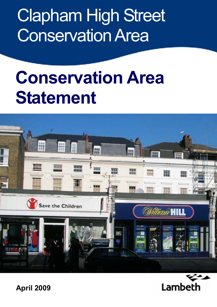**Clapham High Street Conservation Area** 

# **Conservation Area Statement**





**April 2009**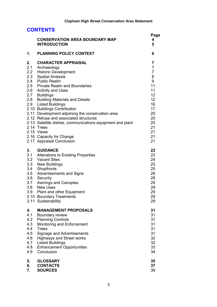| <b>CONTENTS</b>                                                   |                                                                                                                                                                                                                                                                                                                                                                                                                                                                                                                                                       |                                                                                                                  |  |
|-------------------------------------------------------------------|-------------------------------------------------------------------------------------------------------------------------------------------------------------------------------------------------------------------------------------------------------------------------------------------------------------------------------------------------------------------------------------------------------------------------------------------------------------------------------------------------------------------------------------------------------|------------------------------------------------------------------------------------------------------------------|--|
|                                                                   | <b>CONSERVATION AREA BOUNDARY MAP</b><br><b>INTRODUCTION</b>                                                                                                                                                                                                                                                                                                                                                                                                                                                                                          | Page<br>4<br>5                                                                                                   |  |
| 1.                                                                | <b>PLANNING POLICY CONTEXT</b>                                                                                                                                                                                                                                                                                                                                                                                                                                                                                                                        | 6                                                                                                                |  |
| 2.<br>2.8<br>2.9                                                  | <b>CHARACTER APPRAISAL</b><br>2.1 Archaeology<br>2.2 Historic Development<br>2.3 Spatial Analysis<br>2.4 Public Realm<br>2.5 Private Realm and Boundaries<br>2.6 Activity and Uses<br>2.7 Buildings<br><b>Building Materials and Details</b><br><b>Listed Buildings</b><br>2.10 Buildings Contribution<br>2.11 Development adjoining the conservation area<br>2.12 Refuse and associated structures<br>2.13 Satellite dishes, communications equipment and plant<br>2.14 Trees<br>2.15 Views<br>2.16 Capacity for Change<br>2.17 Appraisal Conclusion | 7<br>7<br>$\overline{7}$<br>8<br>9<br>11<br>11<br>12<br>12<br>16<br>17<br>20<br>20<br>20<br>21<br>21<br>21<br>21 |  |
| 3.<br>3.3<br>3.4<br>3.5<br>3.6<br>3.8<br>3.9                      | <b>GUIDANCE</b><br>3.1 Alterations to Existing Properties<br>3.2 Vacant Sites<br>New Buildings<br>Shopfronts<br><b>Advertisements and Signs</b><br>Security<br>3.7 Awnings and Canopies<br><b>New Uses</b><br>Plant and other Equipment<br>3.10 Boundary Treatments<br>3.11 Sustainability                                                                                                                                                                                                                                                            | 22<br>22<br>24<br>25<br>25<br>26<br>28<br>28<br>29<br>29<br>29<br>29                                             |  |
| 4.<br>4.1<br>4.2<br>4.3<br>4.4<br>4.5<br>4.6<br>4.7<br>4.8<br>4.9 | <b>MANAGEMENT PROPOSALS</b><br>Boundary review<br><b>Planning Controls</b><br>Monitoring and Enforcement<br><b>Trees</b><br><b>Signage and Advertisements</b><br><b>Highways and Street works</b><br><b>Listed Buildings</b><br><b>Enhancement Opportunities</b><br>Conclusion                                                                                                                                                                                                                                                                        | 31<br>31<br>31<br>31<br>31<br>31<br>32<br>32<br>33<br>34                                                         |  |
| 5.<br>6.<br>7.                                                    | <b>GLOSSARY</b><br><b>CONTACTS</b><br><b>SOURCES</b>                                                                                                                                                                                                                                                                                                                                                                                                                                                                                                  | 35<br>37<br>39                                                                                                   |  |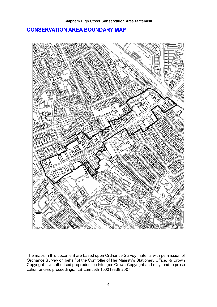## **CONSERVATION AREA BOUNDARY MAP**



The maps in this document are based upon Ordnance Survey material with permission of Ordnance Survey on behalf of the Controller of Her Majesty's Stationery Office. © Crown Copyright. Unauthorised preproduction infringes Crown Copyright and may lead to prosecution or civic proceedings. LB Lambeth 100019338 2007.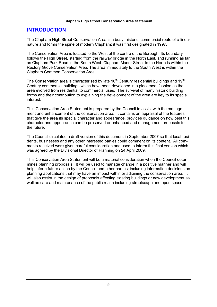## **INTRODUCTION**

The Clapham High Street Conservation Area is a busy, historic, commercial route of a linear nature and forms the spine of modern Clapham; it was first designated in 1997.

The Conservation Area is located to the West of the centre of the Borough. Its boundary follows the High Street, starting from the railway bridge in the North East, and running as far as Clapham Park Road in the South West. Clapham Manor Street to the North is within the Rectory Grove Conservation Area. The area immediately to the South West is within the Clapham Common Conservation Area.

The Conservation area is characterised by late  $18<sup>th</sup>$  Century residential buildings and  $19<sup>th</sup>$ Century commercial buildings which have been developed in a piecemeal fashion as the area evolved from residential to commercial uses. The survival of many historic building forms and their contribution to explaining the development of the area are key to its special interest.

This Conservation Area Statement is prepared by the Council to assist with the management and enhancement of the conservation area. It contains an appraisal of the features that give the area its special character and appearance, provides quidance on how best this character and appearance can be preserved or enhanced and management proposals for the future

The Council circulated a draft version of this document in September 2007 so that local residents, businesses and any other interested parties could comment on its content. All comments received were given careful consideration and used to inform this final version which was agreed by the Divisional Director of Planning on 24 April 2009.

This Conservation Area Statement will be a material consideration when the Council determines planning proposals. It will be used to manage change in a positive manner and will help inform future action by the Council and other parties; including information decisions on planning applications that may have an impact within or adjoining the conservation area. It will also assist in the design of proposals affecting existing buildings or new development as well as care and maintenance of the public realm including streetscape and open space.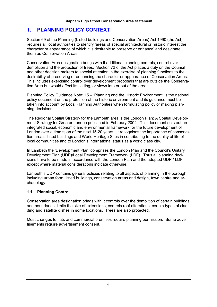#### $\mathbf 1$ . **PLANNING POLICY CONTEXT**

Section 69 of the Planning (Listed buildings and Conservation Areas) Act 1990 (the Act) requires all local authorities to identify 'areas of special architectural or historic interest the character or appearance of which it is desirable to preserve or enhance' and designate them as Conservation Areas.

Conservation Area designation brings with it additional planning controls, control over demolition and the protection of trees. Section 72 of the Act places a duty on the Council and other decision makers to special attention in the exercise of planning functions to the desirability of preserving or enhancing the character or appearance of Conservation Areas. This includes exercising control over development proposals that are outside the Conservation Area but would affect its setting, or views into or out of the area.

Planning Policy Guidance Note: 15 – 'Planning and the Historic Environment' is the national policy document on the protection of the historic environment and its guidance must be taken into account by Local Planning Authorities when formulating policy or making planning decisions.

The Regional Spatial Strategy for the Lambeth area is the London Plan: A Spatial Development Strategy for Greater London published in February 2004. This document sets out an integrated social, economic and environmental framework for the future development of London over a time span of the next 15-20 years. It recognises the importance of conservation areas, listed buildings and World Heritage Sites in contributing to the quality of life of local communities and to London's international status as a world class city.

In Lambeth the 'Development Plan' comprises the London Plan and the Council's Unitary Development Plan (UDP)/Local Development Framework (LDF). Thus all planning decisions have to be made in accordance with the London Plan and the adopted UDP / LDF except where material considerations indicate otherwise.

Lambeth's UDP contains general policies relating to all aspects of planning in the borough including urban form, listed buildings, conservation areas and design, town centre and archaeology.

#### **Planning Control**  $1.1$

Conservation area designation brings with it controls over the demolition of certain buildings and boundaries, limits the size of extensions, controls roof alterations, certain types of cladding and satellite dishes in some locations. Trees are also protected.

Most changes to flats and commercial premises require planning permission. Some advertisements require advertisement consent.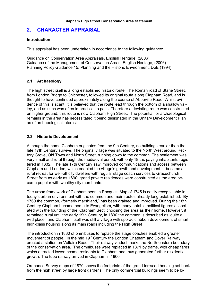#### $2.$ **CHARACTER APPRAISAL**

## **Introduction**

This appraisal has been undertaken in accordance to the following quidance:

Guidance on Conservation Area Appraisals, English Heritage, (2006). Guidance of the Management of Conservation Areas, English Heritage, (2006). Planning Policy Guidance 15: Planning and the Historic Environment, DoE (1994)

## 2.1 Archaeology

The high street itself is a long established historic route. The Roman road of Stane Street, from London Bridge to Chichester, followed its original route along Clapham Road, and is thought to have continued approximately along the course of Abbeville Road. Whilst evidence of this is scant, it is believed that the route lead through the bottom of a shallow valley, and as such was often impractical to pass. Therefore a deviating route was constructed on higher ground: this route is now Clapham High Street. The potential for archaeological remains in the area has necessitated it being designated in the Unitary Development Plan as of archaeological interest.

## 2.2 Historic Development

Although the name Clapham originates from the 9th Century, no buildings earlier than the late 17th Century survive. The original village was situated to the North West around Rectory Grove, Old Town and North Street, running down to the common. The settlement was verv small and rural through the mediaeval period, with only 18 tax paying inhabitants registered in 1332. The late 17th Century saw improved communications and access between Clapham and London, which enabled the village's growth and development. It became a rural retreat for well-off city dwellers with regular stage coach services to Gracechurch Street from as early as 1690; grand private residences were constructed as the area became popular with wealthy city merchants.

The urban framework of Clapham seen in Rocque's Map of 1745 is easily recognisable in today's urban environment with the common and main routes already long established. By 1760 the common, (formerly marshland,) has been drained and improved. During the 18th Century Clapham became home to Evangelism, with many notable political figures associated with the founding of the 'Clapham Sect' choosing the area as their home. However, it remained rural until the early 19th Century, in 1830 the common is described as 'quite a wild place', and Clapham itself was still a village with sporadic ribbon development of smart high-class housing along its main roads including the High Street

The introduction in 1830 of omnibuses to replace the stage coaches enabled a greater movement of people. In the mid 19<sup>th</sup> Century the London Chatham and Dover Railway erected a station on Voltaire Road. Their railway viaduct marks the North-eastern boundary of the conservation area. The omnibuses were replaced in 1871 by trams, with cheap fares which attracted lower income residents to Clapham and thus generated further residential growth. The tube railway arrived in Clapham in 1900.

Ordnance Survey maps of 1870 shows the footprints of the grand terraced housing set back from the high street by large front gardens. The only commercial buildings seem to be lo-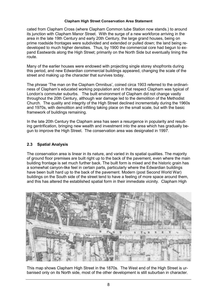cated from Clapham Cross (where Clapham Common tube Station now stands.) to around its junction with Clapham Manor Street. With the surge of a new workforce arriving in the area in the late 19th Century and early 20th Century, the large grand houses, being on prime roadside frontages were subdivided and extended or pulled down: the land being redeveloped to much higher densities. Thus, by 1900 the commercial core had begun to expand Eastwards along the High Street; primarily on the North Side but eventually lining the route.

Many of the earlier houses were endowed with projecting single storey shopfronts during this period, and new Edwardian commercial buildings appeared, changing the scale of the street and making up the character that survives today.

The phrase 'The man on the Clapham Omnibus', coined circa 1903 referred to the ordinariness of Clapham's educated working population and in that respect Clapham was typical of London's commuter suburbs. The built environment of Clapham did not change vastly throughout the 20th Century, although war damage led to the demolition of the Methodist Church. The quality and integrity of the High Street declined incrementally during the 1960s and 1970s, with demolition and infilling taking place on the small scale, but with the basic framework of buildings remaining.

In the late 20th Century the Clapham area has seen a resurgence in popularity and resulting gentrification, bringing new wealth and investment into the area which has gradually begun to improve the High Street. The conservation area was designated in 1997.

#### $2.3$ **Spatial Analysis**

The conservation area is linear in its nature, and varied in its spatial qualities. The majority of ground floor premises are built right up to the back of the payement, even where the main building frontage is set much further back. The built form is mixed and the historic grain has a somewhat canvon-like feel in certain parts, particularly where the Edwardian buildings have been built hard up to the back of the pavement. Modern (post Second World War) buildings on the South side of the street tend to have a feeling of more space around them. and this has altered the established spatial form in their immediate vicinity. Clapham High



This map shows Clapham High Street in the 1870s. The West end of the High Street is urbanised only on its North side, most of the other development is still suburban in character.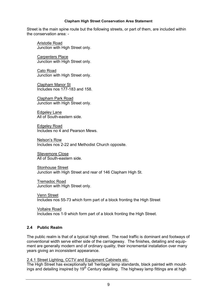Street is the main spine route but the following streets, or part of them, are included within the conservation area: -

Aristotle Road Junction with High Street only.

**Carpenters Place** Junction with High Street only.

Cato Road Junction with High Street only.

**Clapham Manor St** Includes nos 177-183 and 158.

Clapham Park Road Junction with High Street only.

**Edgeley Lane** All of South-eastern side.

**Edgelev Road** Includes no 4 and Pearson Mews.

Nelson's Row Includes nos 2-22 and Methodist Church opposite.

Slievemore Close All of South-eastern side

**Stonhouse Street** Junction with High Street and rear of 146 Clapham High St.

**Tremadoc Road** Junction with High Street only.

Venn Street Includes nos 55-73 which form part of a block fronting the High Street

**Voltaire Road** Includes nos 1-9 which form part of a block fronting the High Street.

## 2.4 Public Realm

The public realm is that of a typical high street. The road traffic is dominant and footways of conventional width serve either side of the carriageway. The finishes, detailing and equipment are generally modern and of ordinary quality, their incremental installation over many vears giving an inconsistent appearance.

2.4.1 Street Lighting, CCTV and Equipment Cabinets etc.<br>The High Street has exceptionally tall 'heritage' lamp standards, black painted with mouldings and detailing inspired by 19<sup>th</sup> Century detailing. The highway lamp fittings are at high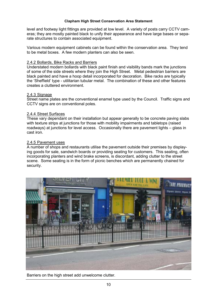level and footway light fittings are provided at low level. A variety of posts carry CCTV cameras; they are mostly painted black to unify their appearance and have large bases or separate structures to contain associated equipment.

Various modern equipment cabinets can be found within the conservation area. They tend to be metal boxes. A few modern planters can also be seen.

#### 2.4.2 Bollards, Bike Racks and Barriers

Understated modern bollards with black paint finish and visibility bands mark the junctions of some of the side streets where they join the High Street. Metal pedestrian barriers are black painted and have a hoop detail incorporated for decoration. Bike racks are typically the 'Sheffield' type - utilitarian tubular metal. The combination of these and other features creates a cluttered environment.

#### 2.4.3 Signage

Street name plates are the conventional enamel type used by the Council. Traffic signs and CCTV signs are on conventional poles.

#### 2.4.4 Street Surfaces

These vary dependant on their installation but appear generally to be concrete paying slabs with texture strips at junctions for those with mobility impairments and tabletops (raised roadways) at junctions for level access. Occasionally there are pavement lights – glass in cast iron.

#### 2.4.5 Pavement uses

A number of shops and restaurants utilise the pavement outside their premises by displaying goods for sale, sandwich boards or providing seating for customers. This seating, often incorporating planters and wind brake screens, is discordant, adding clutter to the street scene. Some seating is in the form of picnic benches which are permanently chained for security.



Barriers on the high street add unwelcome clutter.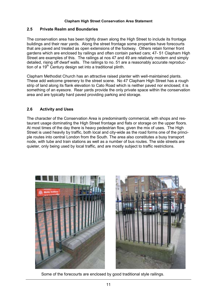#### $2.5$ **Private Realm and Boundaries**

The conservation area has been tightly drawn along the High Street to include its frontage buildings and their rear yards. Along the street frontage some properties have forecourts that are paved and treated as open extensions of the footway. Others retain former front gardens which are enclosed by railings and often contain parked cars: 47-51 Clapham High Street are examples of this. The railings at nos 47 and 49 are relatively modern and simply detailed, rising off dwarf walls. The railings to no. 51 are a reasonably accurate reproduction of a 19<sup>th</sup> Century design set into a traditional plinth.

Clapham Methodist Church has an attractive raised planter with well-maintained plants. These add welcome greenery to the street scene. No 47 Clapham High Street has a rough strip of land along its flank elevation to Cato Road which is neither paved nor enclosed; it is something of an eyesore. Rear vards provide the only private space within the conservation area and are typically hard payed providing parking and storage.

#### $2.6$ **Activity and Uses**

The character of the Conservation Area is predominantly commercial, with shops and restaurant usage dominating the High Street frontage and flats or storage on the upper floors. At most times of the day there is heavy pedestrian flow, given the mix of uses. The High Street is used heavily by traffic, both local and city-wide as the road forms one of the principle routes into central London from the South. The area also constitutes a busy transport node, with tube and train stations as well as a number of bus routes. The side streets are quieter. only being used by local traffic, and are mostly subject to traffic restrictions.





Some of the forecourts are enclosed by good traditional style railings.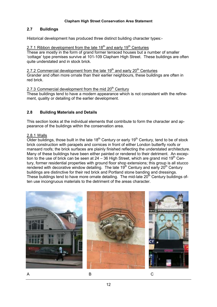#### $2.7$ **Buildings**

Historical development has produced three distinct building character types:-

# 2.7.1 Ribbon development from the late 18<sup>th</sup> and early 19<sup>th</sup> Centuries

These are mostly in the form of grand former terraced houses but a number of smaller 'cottage' type premises survive at 101-109 Clapham High Street. These buildings are often quite understated and in stock brick.

## 2.7.2 Commercial development from the late  $19<sup>th</sup>$  and early 20<sup>th</sup> Centuries

Grander and often more ornate than their earlier neighbours, these buildings are often in red brick.

## 2.7.3 Commercial development from the mid 20<sup>th</sup> Century

These buildings tend to have a modern appearance which is not consistent with the refinement, quality or detailing of the earlier development.

#### $2.8$ **Building Materials and Details**

This section looks at the individual elements that contribute to form the character and appearance of the buildings within the conservation area.

## 2.8.1 Walls

Older buildings, those built in the late 18<sup>th</sup> Century or early 19<sup>th</sup> Century, tend to be of stock brick construction with parapets and cornices in front of either London butterfly roofs or mansard roofs; the brick surfaces are plainly finished reflecting the understated architecture. Many of these buildings have been either painted or rendered to their detriment. An exception to the use of brick can be seen at 24 – 36 High Street, which are grand mid  $19<sup>th</sup>$  Century, former residential properties with ground floor shop extensions; this group is all stucco rendered with decorative window detailing. The late 19<sup>th</sup> Century and early 20<sup>th</sup> Century buildings are distinctive for their red brick and Portland stone banding and dressings. These buildings tend to have more ornate detailing. The mid-late 20<sup>th</sup> Century buildings often use incongruous materials to the detriment of the areas character.

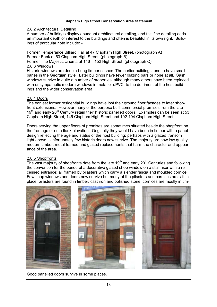#### 2.8.2 Architectural Detailing

ings and the wider conservation area.

A number of buildings display abundant architectural detailing, and this fine detailing adds an important depth of interest to the buildings and often is beautiful in its own right. Buildings of particular note include: -

Former Temperance Billiard Hall at 47 Clapham High Street. (photograph A) Former Bank at 53 Clapham High Street. (photograph B) Former The Majestic cinema at 146 – 152 High Street. (photograph C) 2.8.3 Windows Historic windows are double-hung timber sashes. The earlier buildings tend to have small panes in the Georgian style. Later buildings have fewer glazing bars or none at all. Sash windows survive in quite a number of properties, although many others have been replaced with unsympathetic modern windows in metal or uPVC; to the detriment of the host build-

#### 2.8.4 Doors

The earliest former residential buildings have lost their ground floor facades to later shopfront extensions. However many of the purpose built commercial premises from the late 19<sup>th</sup> and early 20<sup>th</sup> Century retain their historic panelled doors. Examples can be seen at 53 Clapham High Street, 145 Clapham High Street and 102-104 Clapham High Street.

Doors serving the upper floors of premises are sometimes situated beside the shopfront on the frontage or on a flank elevation. Originally they would have been in timber with a panel design reflecting the age and status of the host building; perhaps with a glazed transom light above. Unfortunately few historic doors now survive. The majority are now low quality modern timber, metal framed and glazed replacements that harm the character and appearance of the area.

#### 2.8.5 Shopfronts

The vast majority of shopfronts date from the late  $19<sup>th</sup>$  and early 20<sup>th</sup> Centuries and following the convention for the period of a decorative glazed shop window on a stall riser with a recessed entrance; all framed by pilasters which carry a slender fascia and moulded cornice. Few shop windows and doors now survive but many of the pilasters and cornices are still in place, pilasters are found in timber, cast iron and polished stone; cornices are mostly in tim-



Good panelled doors survive in some places.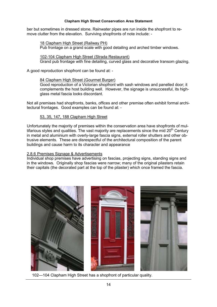ber but sometimes in dressed stone. Rainwater pipes are run inside the shopfront to remove clutter from the elevation. Surviving shopfronts of note include: -

18 Clapham High Street (Railway PH) Pub frontage on a grand scale with good detailing and arched timber windows.

102-104 Clapham High Street (Strada Restaurant) Grand pub frontage with fine detailing, curved glass and decorative transom glazing.

A good reproduction shopfront can be found at: -

## 84 Clapham High Street (Gourmet Burger)

Good reproduction of a Victorian shopfront with sash windows and panelled door: it complements the host building well. However, the signage is unsuccessful, its highglass metal fascia looks discordant.

Not all premises had shopfronts, banks, offices and other premise often exhibit formal architectural frontages. Good examples can be found at: -

## 53, 35, 147, 188 Clapham High Street

Unfortunately the maiority of premises within the conservation area have shopfronts of multifarious styles and qualities. The vast majority are replacements since the mid 20<sup>th</sup> Century in metal and aluminium with overly-large fascia signs, external roller shutters and other obtrusive elements. These are disrespectful of the architectural composition of the parent buildings and cause harm to its character and appearance

#### 2.8.6 Premises Signage & Advertisements

Individual shop premises have advertising on fascias, projecting signs, standing signs and in the windows. Originally shop fascias were narrow: many of the original pilasters retain their capitals (the decorated part at the top of the pilaster) which once framed the fascia.



102-104 Clapham High Street has a shopfront of particular quality.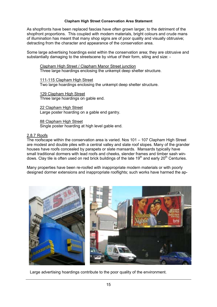As shopfronts have been replaced fascias have often grown larger, to the detriment of the shopfront proportions. This coupled with modern materials, bright colours and crude mans of illumination has meant that many shop signs are of poor quality and visually obtrusive; detracting from the character and appearance of the conservation area.

Some large advertising hoardings exist within the conservation area; they are obtrusive and substantially damaging to the streetscene by virtue of their form, siting and size: -

Clapham High Street / Clapham Manor Street junction Three large hoardings enclosing the unkempt deep shelter structure.

111-115 Clapham High Street Two large hoardings enclosing the unkempt deep shelter structure.

129 Clapham High Street Three large hoardings on gable end.

22 Clapham High Street Large poster hoarding on a gable end gantry.

88 Clapham High Street Single poster hoarding at high level gable end.

## 2.8.7 Roofs

The roofscape within the conservation area is varied. Nos 101 – 107 Clapham High Street are modest and double piles with a central valley and slate roof slopes. Many of the grander houses have roofs concealed by parapets or slate mansards. Mansards typically have small traditional dormers with lead roofs and cheeks, slender frames and timber sash windows. Clay tile is often used on red brick buildings of the late 19<sup>th</sup> and early 20<sup>th</sup> Centuries.

Many properties have been re-roofed with inappropriate modern materials or with poorly designed dormer extensions and inappropriate rooflights; such works have harmed the ap-



Large advertising hoardings contribute to the poor quality of the environment.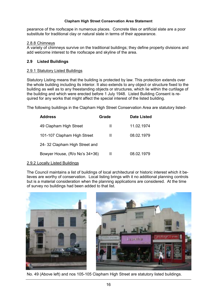pearance of the roofscape in numerous places. Concrete tiles or artificial slate are a poor substitute for traditional clay or natural slate in terms of their appearance.

#### 2.8.8 Chimneys

A variety of chimneys survive on the traditional buildings; they define property divisions and add welcome interest to the roofscape and skyline of the area.

## 2.9 Listed Buildings

#### 2.9.1 Statutory Listed Buildings

Statutory Listing means that the building is protected by law. This protection extends over the whole building including its interior. It also extends to any object or structure fixed to the building as well as to any freestanding objects or structures, which lie within the curtilage of the building and which were erected before 1 July 1948. Listed Building Consent is required for any works that might affect the special interest of the listed building.

The following buildings in the Clapham High Street Conservation Area are statutory listed-

| <b>Address</b>                 | Grade | <b>Date Listed</b> |
|--------------------------------|-------|--------------------|
| 49 Clapham High Street         | Ш     | 11.02.1974         |
| 101-107 Clapham High Street    | Ш     | 08.02.1979         |
| 24-32 Clapham High Street and  |       |                    |
| Bowyer House, (R/o No's 34+36) | Ш     | 08.02.1979         |

#### 2.9.2 Locally Listed Buildings

The Council maintains a list of buildings of local architectural or historic interest which it believes are worthy of conservation. Local listing brings with it no additional planning controls but is a material consideration when the planning applications are considered. At the time of survey no buildings had been added to that list.



No. 49 (Above left) and nos 105-105 Clapham High Street are statutory listed buildings.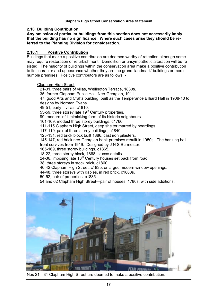#### 2.10 Building Contribution

Any omission of particular buildings from this section does not necessarily imply that the building has no significance. Where such cases arise they should be referred to the Planning Division for consideration.

#### $2.10.1$ **Positive Contribution**

Buildings that make a positive contribution are deemed worthy of retention although some may require restoration or refurbishment. Demolition or unsympathetic alteration will be resisted. The majority of buildings within the conservation area make a positive contribution to its character and appearance whether they are the grand 'landmark' buildings or more humble premises. Positive contributors are as follows: -

#### **Clapham High Street**

21-31, three pairs of villas, Wellington Terrace, 1830s. 35, former Clapham Public Hall, Neo-Georgian, 1911. 47, good Arts and Crafts building, built as the Temperance Billiard Hall in 1908-10 to designs by Norman Evans. 49-51, early - villas, c1810. 53-59, three storey late 19<sup>th</sup> Century properties. 99, modern infill mimicking form of its historic neighbours. 101-109, modest three storey buildings, c1760. 111-115 Clapham High Street, deep shelter marred by hoardings. 117-119, pair of three storey buildings, c1840. 125-131, red brick block built 1886, cast iron pilasters. 145-147, red brick neo-Georgian bank premises rebuilt in 1950s. The banking hall front survives from 1919. Designed by J N S Burmester. 165-169, three storey buildings, c1865. 18-22, three storey block, 1868, stucco details. 24-36. imposing late 18<sup>th</sup> Century houses set back from road. 38. three storeys in stock brick, c1860. 40-42 Clapham High Street, c1835, enlarged modern window openings. 44-48, three storeys with gables, in red brick, c1880s. 50-52, pair of properties, c1835. 54 and 62 Clapham High Street-pair of houses, 1780s, with side additions.



Nos 21–31 Clapham High Street are deemed to make a positive contribution.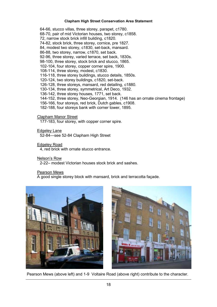64-66, stucco villas, three storey, parapet, c1780. 68-70, pair of mid Victorian houses, two storey, c1858. 72, narrow stock brick infill building, c1820. 74-82, stock brick, three storey, cornice, pre 1827. 84, modest two storey, c1830, set-back, mansard. 86-88, two storey, narrow, c1870, set back. 92-96, three storey, varied terrace, set back, 1830s. 98-100, three storey, stock brick and stucco, 1865. 102-104, four storey, copper corner spire, 1900. 108-114, three storey, modest, c1830. 116-118, three storey buildings, stucco details, 1850s. 120-124, two storey buildings, c1820, set-back. 126-128, three storeys, mansard, red detailing, c1880. 130-134, three storey, symmetrical, Art Deco, 1932. 136-142, three storey houses, 1771, set back. 144-152, three storey, Neo-Georgian, 1914. (146 has an ornate cinema frontage) 156-166, four storeys, red brick, Dutch gables, c1908. 182-188, four storeys bank with corner tower, 1895.

**Clapham Manor Street** 

177-183, four storey, with copper corner spire.

**Edgeley Lane** 

52-84-see 52-84 Clapham High Street

**Edgeley Road** 

4, red brick with ornate stucco entrance.

Nelson's Row

2-22- modest Victorian houses stock brick and sashes

Pearson Mews

A good single storey block with mansard, brick and terracotta façade.





Pearson Mews (above left) and 1-9 Voltaire Road (above right) contribute to the character.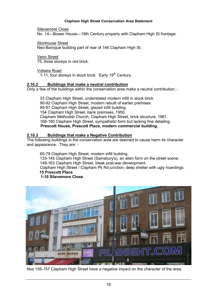Slievemore Close

No. 14-Bower House-18th Century property with Clapham High St frontage.

**Stonhouse Street** 

Neo-Baroque building part of rear of 146 Clapham High St.

**Venn Street** 75, three storeys in red brick.

**Voltaire Road** 

1-11, four storeys in stock brick. Early 19<sup>th</sup> Century.

#### Buildings that make a neutral contribution  $2.10.2$

Only a few of the buildings within the conservation area make a neutral contribution: -

33 Clapham High Street, understated modern infill in stock brick 90-92 Clapham High Street, modern rebuilt of earlier premises 95-97 Clapham High Street, glazed infill building. 154 Clapham High Street, bank premises, 1950. Clapham Methodist Church, Clapham High Street, brick structure, 1961. 168-180 Clapham High Street, sympathetic form but lacking fine detailing. Prescott House, Prescott Place, modern commercial building.

#### $2.10.3$ **Buildings that make a Negative Contribution**

The following buildings in the conservation area are deemed to cause harm its character and appearance. They are: -

65-79 Clapham High Street, modern infill building. 133-145 Clapham High Street (Sainsbury's), an alien form on the street scene. 149-163 Clapham High Street, bleak post-war development. Clapham High Street / Clapham Pk Rd junction, deep shelter with ugly hoardings. **15 Prescott Place** 1-10 Slievemore Close



Nos 155-157 Clapham High Street have a negative impact on the character of the area.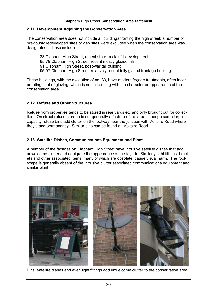## 2.11 Development Adjoining the Conservation Area

The conservation area does not include all buildings fronting the high street; a number of previously redeveloped sites or gap sites were excluded when the conservation area was designated. These include: -

33 Clapham High Street, recent stock brick infill development. 65-79 Clapham High Street, recent mostly glazed infill. 91 Clapham High Street, post-war tall building. 95-97 Clapham High Street, relatively recent fully glazed frontage building.

These buildings, with the exception of no. 33, have modern facade treatments, often incorporating a lot of glazing, which is not in keeping with the character or appearance of the conservation area.

## 2.12 Refuse and Other Structures

Refuse from properties tends to be stored in rear yards etc and only brought out for collection. On street refuse storage is not generally a feature of the area although some large capacity refuse bins add clutter on the footway near the junction with Voltaire Road where they stand permanently. Similar bins can be found on Voltaire Road.

## 2.13 Satellite Dishes, Communications Equipment and Plant

A number of the facades on Clapham High Street have intrusive satellite dishes that add unwelcome clutter and denigrate the appearance of the facade. Similarly light fittings, brackets and other associated items, many of which are obsolete, cause visual harm. The roofscape is generally absent of the intrusive clutter associated communications equipment and similar plant.



Bins, satellite dishes and even light fittings add unwelcome clutter to the conservation area.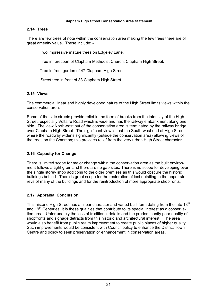## 2.14 Trees

There are few trees of note within the conservation area making the few trees there are of great amenity value. These include: -

Two impressive mature trees on Edgeley Lane.

Tree in forecourt of Clapham Methodist Church, Clapham High Street.

Tree in front garden of 47 Clapham High Street.

Street tree in front of 33 Clapham High Street.

## 2.15 Views

The commercial linear and highly developed nature of the High Street limits views within the conservation area

Some of the side streets provide relief in the form of breaks from the intensity of the High Street; especially Voltaire Road which is wide and has the railway embankment along one side. The view North-east out of the conservation area is terminated by the railway bridge over Clapham High Street. The significant view is that the South-west end of High Street where the roadway widens significantly (outside the conservation area) allowing views of the trees on the Common; this provides relief from the very urban High Street character.

## 2.16 Capacity for Change

There is limited scope for maior change within the conservation area as the built environment follows a tight grain and there are no gap sites. There is no scope for developing over the single storey shop additions to the older premises as this would obscure the historic buildings behind. There is great scope for the restoration of lost detailing to the upper storeys of many of the buildings and for the reintroduction of more appropriate shopfronts.

## 2.17 Appraisal Conclusion

This historic High Street has a linear character and varied built form dating from the late 18<sup>th</sup> and 19<sup>th</sup> Centuries; it is these qualities that contribute to its special interest as a conservation area. Unfortunately the loss of traditional details and the predominantly poor quality of shopfronts and signage detracts from this historic and architectural interest. The area would also benefit from public realm improvement to create public places of higher quality. Such improvements would be consistent with Council policy to enhance the District Town Centre and policy to seek preservation or enhancement in conservation areas.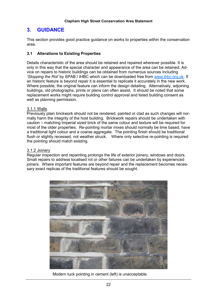#### $3<sub>1</sub>$ **GUIDANCE**

This section provides good practice guidance on works to properties within the conservation area

## 3.1 Alterations to Existing Properties

Details characteristic of the area should be retained and repaired wherever possible. It is only in this way that the special character and appearance of the area can be retained. Advice on repairs to historic buildings can be obtained from numerous sources including 'Stopping the Rot' by SPAB / IHBC which can be downloaded free from www.ihbc.org.uk. If an historic feature is beyond repair it is essential to replicate it accurately in the new work. Where possible, the original feature can inform the design detailing. Alternatively, adjoining buildings, old photographs, prints or plans can often assist. It should be noted that some replacement works might require building control approval and listed building consent as well as planning permission.

## 3.1.1 Walls

Previously plain brickwork should not be rendered, painted or clad as such changes will normally harm the integrity of the host building. Brickwork repairs should be undertaken with caution – matching Imperial sized brick of the same colour and texture will be required for most of the older properties. Re-pointing mortar mixes should normally be lime based, have a traditional light colour and a coarse aggregate. The pointing finish should be traditional flush or slightly recessed, not weather struck. Where only selective re-pointing is required the pointing should match existing.

## 3.1.2 Joinerv

Regular inspection and repainting prolongs the life of exterior joinery, windows and doors. Small repairs to address localised rot or other failures can be undertaken by experienced joiners. Where important features are beyond repair and the replacement becomes necessary exact replicas of the traditional features should be sought.



Modern tuck pointing in cement (left) is unacceptable.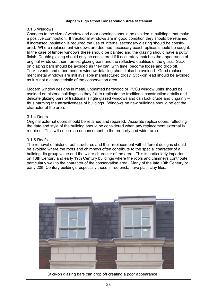#### 3.1.3 Windows

Changes to the size of window and door openings should be avoided in buildings that make a positive contribution. If traditional windows are in good condition they should be retained. If increased insulation is required the use of internal secondary glazing should be considered. Where replacement windows are deemed necessary exact replicas should be sought. In the case of timber windows these should be painted and the glazing should have a putty finish. Double glazing should only be considered if it accurately matches the appearance of original windows, their frames, glazing bars and the reflective qualities of the glass. Stickon glazing bars should be avoided as they can, with time, become loose and drop off. Trickle vents and other modern window detailing should also be avoided. Good replacement metal windows are still available manufactured today. Stick-on lead should be avoided as it is not a characteristic of the conservation area.

Modern window designs in metal, unpainted hardwood or PVCu window units should be avoided on historic buildings as they fail to replicate the traditional construction details and delicate glazing bars of traditional single glazed windows and can look crude and ungainly  $$ thus harming the attractiveness of buildings. Windows on new buildings should reflect the character of the area

## 3.1.4 Doors

Original external doors should be retained and repaired. Accurate replica doors, reflecting the date and style of the building should be considered when any replacement external is required. This will secure an enhancement to the property and wider area.

## 3.1.5 Roofs

The removal of historic roof structures and their replacement with different designs should be avoided where the roofs and chimneys often contribute to the special character of a building, its group value and the wider character of the area. This is particularly important on 18th Century and early 19th Century buildings where the roofs and chimneys contribute particularly well to the character of the conservation area. Many of the late 19th Century or early 20th Century buildings, especially those in red brick, have plain clay tiles.



Stick-on glazing bars can drop off creating a poor appearance.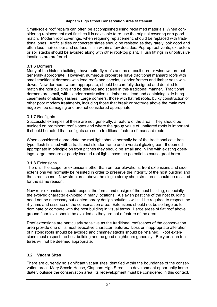Small-scale roof repairs can often be accomplished using reclaimed materials. When considering replacement roof finishes it is advisable to re-use the original covering or a good match. Modern roof coverings, when requiring replacement, should be replaced with traditional ones. Artificial tiles or concrete slates should be resisted as they rarely look good and often lose their colour and surface finish within a few decades. Pop-up roof vents, extractors or soil stacks should be avoided along with other roof-top plant. Flush fittings in unobtrusive locations are preferred.

## 3.1.6 Dormers

Many of the historic buildings have butterfly roofs and as a result dormer windows are not generally appropriate. However, numerous properties have traditional mansard roofs with small traditional dormers with lead roofs and cheeks, slender frames and timber sash windows. New dormers, where appropriate, should be carefully designed and detailed to match the host building and be detailed and scaled in this traditional manner. Traditional dormers are small, with slender construction in timber and lead and containing side hung casements or sliding sashes. Large dormers, those with flat felt roofs, bulky construction or other poor modern treatments, including those that break or protrude above the main roof ridge will be damaging and are not considered appropriate.

## 3.1.7 Rooflights

Successful examples of these are not, generally, a feature of the area. They should be avoided on prominent roof slopes and where the group value of unaltered roofs is important. It should be noted that rooflights are not a traditional feature of mansard roofs.

When considered appropriate the roof light should normally be of the traditional cast-iron type, flush finished with a traditional slender frame and a vertical glazing bar. If deemed appropriate in principle on front pitches they should be small and in line with existing openings; large, modern or poorly located roof lights have the potential to cause great harm.

#### 3.1.8 Extensions

There is little scope for extensions other than on rear elevations: front extensions and side extensions will normally be resisted in order to preserve the integrity of the host building and the street scene. New structures above the single storey shop structures should be resisted for the same reason.

New rear extensions should respect the forms and design of the host building; especially the evolved character exhibited in many locations. A slavish pastiche of the host building need not be necessary but contemporary design solutions will still be required to respect the rhythms and essence of the conservation area. Extensions should not be so large as to dominate or compete with the host building in visual terms. Large areas of flat roof above ground floor level should be avoided as they are not a feature of the area.

Roof extensions are particularly sensitive as the traditional roofscapes of the conservation area provide one of its most evocative character features. Loss or inappropriate alteration of historic roofs should be avoided and chimney stacks should be retained. Roof extensions must respect the host building and be good neighbours generally. Boxy or alien features will not be deemed appropriate.

## 3.2 Vacant Sites

There are currently no significant vacant sites identified within the boundaries of the conservation area. Mary Secole House, Clapham High Street is a development opportunity immediately outside the conservation area Its redevelopment must be considered in this context.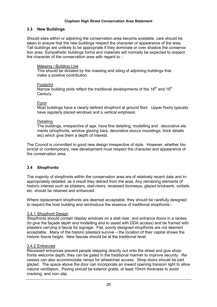## 3.3 New Buildings

Should sites within or adjoining the conservation area become available, care should be taken to ensure that the new buildings respect the character or appearance of the area. Tall buildings are unlikely to be appropriate if they dominate or over shadow the conservation area. Sympathetic buildings forms and materials will normally be expected to respect the character of the conservation area with regard to: -

## Massing / Building Line

This should be dictated by the massing and siting of adjoining buildings that make a positive contribution.

#### Footprint

Narrow building plots reflect the traditional developments of the  $18<sup>th</sup>$  and  $19<sup>th</sup>$ Century.

#### Form

Most buildings have a clearly defined shopfront at ground floor. Upper floors typically have regularly placed windows and a vertical emphasis.

## Detailing

The buildings, irrespective of age, have fine detailing, modelling and decorative ele ments (shopfronts, window glazing bars, decorative stucco mouldings, brick details etc) which give them a depth of interest.

The Council is committed to good new design irrespective of style. However, whether historicist or contemporary, new development must respect the character and appearance of the conservation area.

## 3.4 Shopfronts

The majority of shopfronts within the conservation area are of relatively recent date and inappropriately detailed; as a result they detract from the area. Any remaining elements of historic interest such as pilasters, stall-risers, recessed doorways, glazed brickwork, corbels etc. should be retained and enhanced.

Where replacement shopfronts are deemed acceptable, they should be carefully designed to respect the host building and reintroduce the essence of traditional shopfronts:-

#### 3.4.1 Shopfront Design

Shopfronts should contain display windows on a stall riser, and entrance doors in a recess (to give the facade depth and modelling and to assist with DDA access) and be framed with pilasters carrying a fascia for signage. Flat, poorly designed shopfronts are not deemed acceptable. Many of the historic pilasters survive – the location of their capital shows the historic fascia height. New fascias should be at the traditional level.

#### 3.4.2 Entrances

Recessed entrances prevent people stepping directly out onto the street and give shopfronts welcome depth; they can be gated in the traditional manner to improve security. Recesses can also accommodate ramps for wheelchair access. Shop doors should be part glazed. The space above the door can incorporate an inward opening transom light to allow natural ventilation. Paving should be exterior grade, at least 10mm thickness to avoid cracking, and non-slip.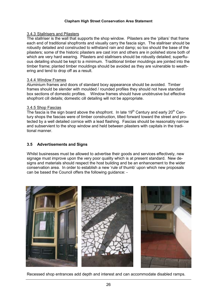#### 3.4.3 Stallrisers and Pilasters

The stallriser is the wall that supports the shop window. Pilasters are the 'pillars' that frame each end of traditional shopfronts and visually carry the fascia sign. The stallriser should be robustly detailed and constructed to withstand rain and damp; so too should the base of the pilasters; some of the historic pilasters are cast iron and others are in polished stone both of which are very hard wearing. Pilasters and stallrisers should be robustly detailed; superfluous detailing should be kept to a minimum. Traditional timber mouldings are jointed into the timber frame; planted timber mouldings should be avoided as they are vulnerable to weathering and tend to drop off as a result.

#### 3.4.4 Window Frames

Aluminium frames and doors of standard boxy appearance should be avoided. Timber frames should be slender with moulded / rounded profiles they should not have standard box sections of domestic profiles. Window frames should have unobtrusive but effective shopfront cill details; domestic cill detailing will not be appropriate.

#### 3.4.5 Shop Fascias

The fascia is the sign board above the shopfront. In late  $19<sup>th</sup>$  Century and early  $20<sup>th</sup>$  Century shops the fascias were of timber construction, tilted forward toward the street and protected by a well detailed cornice with a lead flashing. Fascias should be reasonably narrow and subservient to the shop window and held between pilasters with capitals in the traditional manner

## 3.5 Advertisements and Signs

Whilst businesses must be allowed to advertise their goods and services effectively, new signage must improve upon the very poor quality which is at present standard. New designs and materials should respect the host building and be an enhancement to the wider conservation area. In order to establish a new 'rule of thumb' upon which new proposals can be based the Council offers the following quidance: -



Recessed shop entrances add depth and interest and can accommodate disabled ramps.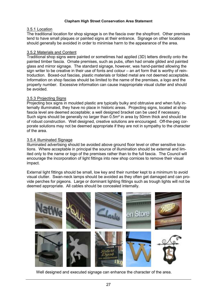#### 3.5.1 Location

The traditional location for shop signage is on the fascia over the shopfront. Other premises tend to have small plagues or painted signs at their entrance. Signage on other locations should generally be avoided in order to minimise harm to the appearance of the area.

#### 3.5.2 Materials and Content

Traditional shop signs were painted or sometimes had applied (3D) letters directly onto the painted timber fascia. Ornate premises, such as pubs, often had ornate gilded and painted glass and mirror signage. The standard signage, however, was hand-painted allowing the sign writer to be creative in their use of fonts and colour – an art form that is worthy of reintroduction. Boxed-out fascias, plastic materials or folded metal are not deemed acceptable. Information on shop fascias should be limited to the name of the premises, a logo and the property number. Excessive information can cause inappropriate visual clutter and should be avoided.

#### 3.5.3 Projecting Signs

Projecting box signs in moulded plastic are typically bulky and obtrusive and when fully internally illuminated, they have no place in historic areas. Projecting signs, located at shop fascia level are deemed acceptable; a well designed bracket can be used if necessary. Such signs should be generally no larger than 0.5m<sup>2</sup> in area by 50mm thick and should be of robust construction. Well designed, creative solutions are encouraged. Off-the-peg corporate solutions may not be deemed appropriate if they are not in sympathy to the character of the area.

#### 3.5.4 Illuminated Signage

Illuminated advertising should be avoided above ground floor level or other sensitive locations. Where acceptable in principal the source of illumination should be external and limited only to the name or logo of the premises rather than to the full fascia. The Council will encourage the incorporation of light fittings into new shop cornices to remove their visual impact.

External light fittings should be small, low key and their number kept to a minimum to avoid visual clutter. Swan-neck lamps should be avoided as they often get damaged and can provide perches for pigeons. Large or dominant lighting fittings such as trough lights will not be deemed appropriate. All cables should be concealed internally.



Well designed and executed signage can enhance the character of the area.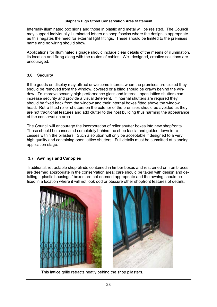Internally illuminated box signs and those in plastic and metal will be resisted. The Council may support individually illuminated letters on shop fascias where the design is appropriate as this negates the need for external light fittings. These should be limited to the premises name and no wiring should show.

Applications for illuminated signage should include clear details of the means of illumination, its location and fixing along with the routes of cables. Well designed, creative solutions are encouraged.

#### $3.6$ **Security**

If the goods on display may attract unwelcome interest when the premises are closed they should be removed from the window, covered or a blind should be drawn behind the window. To improve security high performance glass and internal, open lattice shutters can increase security and provide a visual deterrent. If internal shutters are required they should be fixed back from the window and their internal boxes fitted above the window head. Retro-fitted roller shutters on the exterior of the premises should be avoided as they are not traditional features and add clutter to the host building thus harming the appearance of the conservation area.

The Council will encourage the incorporation of roller shutter boxes into new shopfronts. These should be concealed completely behind the shop fascia and quided down in recesses within the pilasters. Such a solution will only be acceptable if designed to a very high quality and containing open lattice shutters. Full details must be submitted at planning application stage.

## 3.7 Awnings and Canopies

Traditional, retractable shop blinds contained in timber boxes and restrained on iron braces are deemed appropriate in the conservation area; care should be taken with design and detailing – plastic housings / boxes are not deemed appropriate and the awning should be fixed in a location where it will not look odd or obscure other shopfront features of details.





This lattice grille retracts neatly behind the shop pilasters.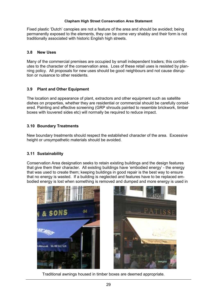Fixed plastic 'Dutch' canopies are not a feature of the area and should be avoided; being permanently exposed to the elements, they can be come very shabby and their form is not traditionally associated with historic English high streets.

#### $3.8$ **New Uses**

Many of the commercial premises are occupied by small independent traders; this contributes to the character of the conservation area. Loss of these retail uses is resisted by planning policy. All proposals for new uses should be good neighbours and not cause disruption or nuisance to other residents.

#### $3.9$ **Plant and Other Equipment**

The location and appearance of plant, extractors and other equipment such as satellite dishes on properties, whether they are residential or commercial should be carefully considered. Painting and effective screening (GRP shrouds painted to resemble brickwork, timber boxes with louvered sides etc) will normally be required to reduce impact.

## 3.10 Boundary Treatments

New boundary treatments should respect the established character of the area. Excessive height or unsympathetic materials should be avoided.

## 3.11 Sustainability

Conservation Area designation seeks to retain existing buildings and the design features that give them their character. All existing buildings have 'embodied energy' - the energy that was used to create them; keeping buildings in good repair is the best way to ensure that no energy is wasted. If a building is neglected and features have to be replaced embodied energy is lost when something is removed and dumped and more energy is used in





Traditional awnings housed in timber boxes are deemed appropriate.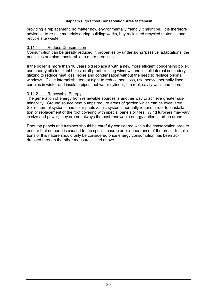providing a replacement, no matter how environmentally friendly it might be. It is therefore advisable to re-use materials during building works, buy reclaimed recycled materials and recycle site waste.

#### <u>3.11.1</u> **Reduce Consumption**

Consumption can be greatly reduced in properties by undertaking 'passive' adaptations; the principles are also transferable to other premises: -

If the boiler is more than 10 years old replace it with a new more efficient condensing boiler, use energy efficient light bulbs, draft proof existing windows and install internal secondary glazing to reduce heat loss, noise and condensation without the need to replace original windows. Close internal shutters at night to reduce heat loss, use heavy, thermally lined curtains in winter and insulate pipes, hot water cylinder, the roof, cavity walls and floors.

## 3.11.2 Renewable Energy

The generation of energy from renewable sources is another way to achieve greater sustainability. Ground source heat pumps require areas of garden which can be excavated. Solar thermal systems and solar photovoltaic systems normally require a roof-top installation or replacement of the roof covering with special panels or tiles. Wind turbines may vary in size and power; they are not always the best renewable energy option in urban areas.

Roof top panels and turbines should be carefully considered within the conservation area to ensure that no harm is caused to the special character or appearance of the area. Installations of this nature should only be considered once energy consumption has been addressed through the other measures listed above.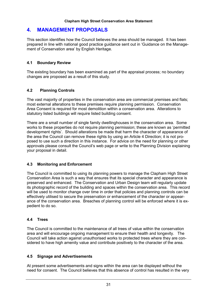#### $\mathbf{A}_{\cdot}$ **MANAGEMENT PROPOSALS**

This section identifies how the Council believes the area should be managed. It has been prepared in line with national good practice guidance sent out in 'Guidance on the Management of Conservation area' by English Heritage.

## 4.1 Boundary Review

The existing boundary has been examined as part of the appraisal process; no boundary changes are proposed as a result of this study.

#### $4.2$ **Planning Controls**

The vast majority of properties in the conservation area are commercial premises and flats; most external alterations to these premises require planning permission. Conservation Area Consent is required for most demolition within a conservation area. Alterations to statutory listed buildings will require listed building consent.

There are a small number of single family dwellinghouses in the conservation area. Some works to these properties do not require planning permission; these are known as 'permitted development rights'. Should alterations be made that harm the character of appearance of the area the Council can remove these rights by using an Article 4 Direction; it is not proposed to use such a direction in this instance. For advice on the need for planning or other approvals please consult the Council's web page or write to the Planning Division explaining vour proposal in detail.

#### $4.3$ **Monitoring and Enforcement**

The Council is committed to using its planning powers to manage the Clapham High Street Conservation Area is such a way that ensures that its special character and appearance is preserved and enhanced. The Conservation and Urban Design team will regularly update its photographic record of the building and spaces within the conservation area. This record will be used to monitor change over time in order that policies and planning controls can be effectively utilised to secure the preservation or enhancement of the character or appearance of the conservation area. Breaches of planning control will be enforced where it is expedient to do so.

## 4.4 Trees

The Council is committed to the maintenance of all trees of value within the conservation area and will encourage ongoing management to ensure their health and longevity. The Council will take action against unauthorised works to protected trees where they are considered to have high amenity value and contribute positively to the character of the area.

#### **Signage and Advertisements** 4.5

At present some advertisements and signs within the area can be displayed without the need for consent. The Council believes that this absence of control has resulted in the very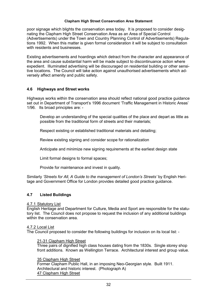poor signage which blights the conservation area today. It is proposed to consider designating the Clapham High Street Conservation Area as an Area of Special Control (Advertisements) under the Town and Country Planning Control of Advertisements) Regulations 1992. When this matter is given formal consideration it will be subiect to consultation with residents and businesses.

Existing advertisements and hoardings which detract from the character and appearance of the area and cause substantial harm will be made subject to discontinuance action where expedient. Illuminated advertising will be discouraged on residential building or other sensitive locations. The Council will take action against unauthorised advertisements which adversely affect amenity and public safety.

#### $4.6$ **Highways and Street works**

Highways works within the conservation area should reflect national good practice quidance set out in Department of Transport's 1996 document 'Traffic Management in Historic Areas' 1/96. Its broad principles are: -

Develop an understanding of the special qualities of the place and depart as little as possible from the traditional form of streets and their materials;

Respect existing or established traditional materials and detailing;

Review existing signing and consider scope for rationalization

Anticipate and minimize new signing requirements at the earliest design state

Limit formal designs to formal spaces:

Provide for maintenance and invest in quality.

Similarly 'Streets for All, A Guide to the management of London's Streets' by English Heritage and Government Office for London provides detailed good practice guidance.

#### $4.7$ **Listed Buildings**

#### 4.7.1 Statutory List

English Heritage and Department for Culture, Media and Sport are responsible for the statutory list. The Council does not propose to request the inclusion of any additional buildings within the conservation area.

## 4.7.2 Local List

The Council proposed to consider the following buildings for inclusion on its local list: -

#### 21-31 Clapham High Street

Three pairs of dignified high class houses dating from the 1830s. Single storey shop front additions. Known as Wellington Terrace. Architectural interest and group value.

#### 35 Clapham High Street

Former Clapham Public Hall, in an imposing Neo-Georgian style. Built 1911. Architectural and historic interest. (Photograph A) 47 Clapham High Street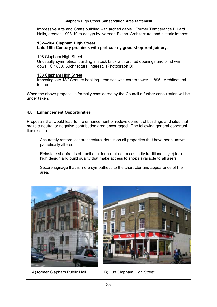Impressive Arts and Crafts building with arched gable. Former Temperance Billiard Halls, erected 1908-10 to design by Norman Evans. Architectural and historic interest.

#### 102-104 Clapham High Street Late 19th Century premises with particularly good shopfront joinery.

#### 108 Clapham High Street

Unusually symmetrical building in stock brick with arched openings and blind windows. C 1830. Architectural interest. (Photograph B)

#### 188 Clapham High Street

Imposing late 18<sup>th</sup> Century banking premises with corner tower. 1895. Architectural interest.

When the above proposal is formally considered by the Council a further consultation will be under taken

## 4.8 Enhancement Opportunities

Proposals that would lead to the enhancement or redevelopment of buildings and sites that make a neutral or negative contribution area encouraged. The following general opportunities exist to-

Accurately restore lost architectural details on all properties that have been unsympathetically altered.

Reinstate shopfronts of traditional form (but not necessarily traditional style) to a high design and build quality that make access to shops available to all users.

Secure signage that is more sympathetic to the character and appearance of the area



A) former Clapham Public Hall



B) 108 Clapham High Street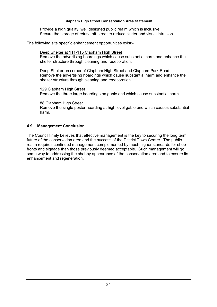Provide a high quality, well designed public realm which is inclusive. Secure the storage of refuse off-street to reduce clutter and visual intrusion.

The following site specific enhancement opportunities exist:-

## Deep Shelter at 111-115 Clapham High Street

Remove the advertising hoardings which cause substantial harm and enhance the shelter structure through cleaning and redecoration.

Deep Shelter on corner of Clapham High Street and Clapham Park Road Remove the advertising hoardings which cause substantial harm and enhance the shelter structure through cleaning and redecoration.

129 Clapham High Street Remove the three large hoardings on gable end which cause substantial harm.

#### 88 Clapham High Street

Remove the single poster hoarding at high level gable end which causes substantial harm.

#### 4.9 **Management Conclusion**

The Council firmly believes that effective management is the key to securing the long term future of the conservation area and the success of the District Town Centre. The public realm requires continued management complemented by much higher standards for shopfronts and signage than those previously deemed acceptable. Such management will go some way to addressing the shabby appearance of the conservation area and to ensure its enhancement and regeneration.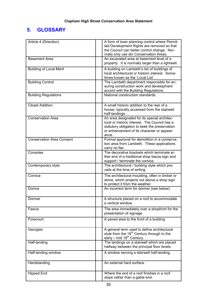# 5. GLOSSARY

| Article 4 (Direction)            | A form of town planning control where Permit-<br>ted Development Rights are removed so that<br>the Council can better control change. Nor-<br>mally only use din Conservation Areas.                  |
|----------------------------------|-------------------------------------------------------------------------------------------------------------------------------------------------------------------------------------------------------|
| <b>Basement Area</b>             | An excavated area at basement level of a<br>property. It is normally larger than a lightwell.                                                                                                         |
| <b>Building of Local Merit</b>   | A building on Lambeth's list of buildings of<br>local architectural or historic interest. Some-<br>times known as the 'Local List'.                                                                   |
| <b>Building Control</b>          | The Lambeth department responsible for en-<br>suring construction work and development<br>accord with the Building Regulations.                                                                       |
| <b>Building Regulations</b>      | National construction standards.                                                                                                                                                                      |
| <b>Closet Addition</b>           | A small historic addition to the rear of a<br>house; typically accessed from the stairwell<br>half-landings.                                                                                          |
| <b>Conservation Area</b>         | An area designated for its special architec-<br>tural or historic interest. The Council has a<br>statutory obligation to seek the preservation<br>or enhancement of its character or appear-<br>ance. |
| <b>Conservation Area Consent</b> | Formal approval for demolition in a conserva-<br>tion area from Lambeth. These applications<br>carry no fee                                                                                           |
| Consoles                         | The decorative brackets which terminate ei-<br>ther end of a traditional shop fascia sign and<br>support / terminate the cornice.                                                                     |
| Contemporary style               | The architectural / building style which pre-<br>vails at the time of writing.                                                                                                                        |
| Cornice                          | The architectural moulding, often in timber or<br>stone, which projects out above a shop sign<br>to protect it from the weather.                                                                      |
| Dorma                            | An incorrect term for dormer (see below)                                                                                                                                                              |
| Dormer                           | A structure placed on a roof to accommodate<br>a vertical window.                                                                                                                                     |
| Fascia                           | The area immediately over a shopfront for the<br>presentation of signage                                                                                                                              |
| Forecourt                        | A paved area to the front of a building                                                                                                                                                               |
| Georgian                         | A general term used to define architectural<br>style from the 18 <sup>th</sup> Century through to the<br>early – mid $19^{th}$ Century.                                                               |
| Half-landing                     | The landings on a stairwell which are placed<br>halfway between the principal floor levels.                                                                                                           |
| Half-landing window              | A window serving a stairwell half-landing.                                                                                                                                                            |
| Hardstanding                     | An external hard surface.                                                                                                                                                                             |
| <b>Hipped End</b>                | Where the end of a roof finishes in a roof<br>slope rather than a gable end.                                                                                                                          |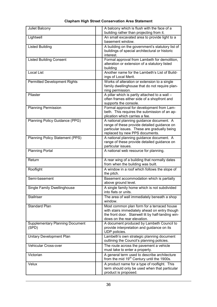#### building rather than projecting from it. An small excavated area to provide light to a Lightwell basement window. **Listed Building** A building on the government's statutory list of buildings of special architectural or historic interest. Formal approval from Lambeth for demolition. **Listed Building Consent** alteration or extension of a statutory listed building **Local List** Another name for the Lambeth's List of Buildings of Local Merit. Works of alteration or extension to a single **Permitted Development Rights** family dwellinghouse that do not require planning permission. Pilaster A pillar which is partly attached to a wall  $$ often frames either side of a shopfront and supports the console. **Planning Permission** Formal approval for development from Lambeth. This requires the submission of an application which carries a fee. Planning Policy Guidance (PPG) A national planning quidance document. A range of these provide detailed quidance on particular issues. These are gradually being replaced by new PPS documents. A national planning guidance document. A **Planning Policy Statement (PPS)** range of these provide detailed quidance on particular issues. Planning Portal A national web resource for planning. Return A rear wing of a building that normally dates from when the building was built. Rooflight A window in a roof which follows the slope of the pitch. Semi-hasement Basement accommodation which is partially above ground level. **Single Family Dwellinghouse** A single family home which is not subdivided into flats or units. Stallriser The area of wall immediately beneath a shop window. Standard Plan Most common plan form for a terraced house with stairs immediately ahead on entry though the front door. Stairwell lit by half-landing windows on the rear elevation. A document produced by Lambeth Council to **Supplementary Planning Document** provide interpretation and quidance on its  $(SPD)$ UDP policies. **Unitary Development Plan** Lambeth's own strategic planning document outlining the Council's planning policies. The route across the pavement a vehicle Vehicular Cross-over must take to enter a property. A general term used to describe architecture Victorian from the mid 19<sup>th</sup> Century until the 1900s.

#### **Clapham High Street Conservation Area Statement**

A balcony which is flush with the face of a

**Juliet Balcony** 

Velux

product is proposed.

A product name for a type of rooflight. This

term should only be used when that particular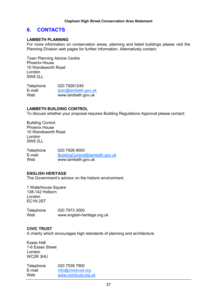#### 6. **CONTACTS**

#### **LAMBETH PLANNING**

For more information on conservation areas, planning and listed buildings please visit the Planning Division web pages for further information. Alternatively contact:

Town Planning Advice Centre Phoenix House 10 Wandsworth Road London SW8 2LL

020 79261249 Telephone E-mail tpac@lambeth.gov.uk Web www.lambeth.gov.uk

#### **LAMBETH BUILDING CONTROL**

To discuss whether your proposal requires Building Regulations Approval please contact:

**Building Control** Phoenix House 10 Wandsworth Road London SW8 2LL

020 7926 9000 Telephone  $F$ -mail BuildingControl@lambeth.gov.uk Web www.lambeth.gov.uk

#### **ENGLISH HERITAGE**

The Government's advisor on the historic environment.

1 Waterhouse Square 138-142 Holborn London EC1N<sub>2ST</sub>

020 7973 3000 Telephone Web www.english-heritage.org.uk

#### **CIVIC TRUST**

A charity which encourages high standards of planning and architecture.

**Essex Hall** 1-6 Essex Street London WC2R 3HU

| Telephone | 020 7539 7900         |
|-----------|-----------------------|
| E-mail    | info@civictrust.org   |
| Web       | www.civictrust.org.uk |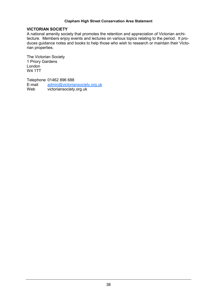#### **VICTORIAN SOCIETY**

A national amenity society that promotes the retention and appreciation of Victorian architecture. Members enjoy events and lectures on various topics relating to the period. It produces guidance notes and books to help those who wish to research or maintain their Victorian properties.

The Victorian Society 1 Priory Gardens London **W4 1TT** 

Telephone 01462 896 688 E-mail admin@victoriansociety.org.uk Web victoriansociety.org.uk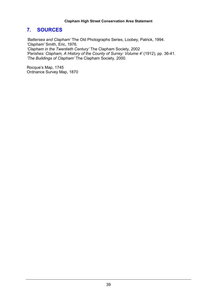#### $\mathbf{7}$ . **SOURCES**

'Battersea and Clapham' The Old Photographs Series, Loobey, Patrick, 1994. 'Clapham' Smith, Eric, 1976. 'Clapham in the Twentieth Century' The Clapham Society, 2002 'Parishes: Clapham, A History of the County of Surrey: Volume 4' (1912), pp. 36-41. 'The Buildings of Clapham' The Clapham Society, 2000.

Rocque's Map, 1745 Ordnance Survey Map, 1870